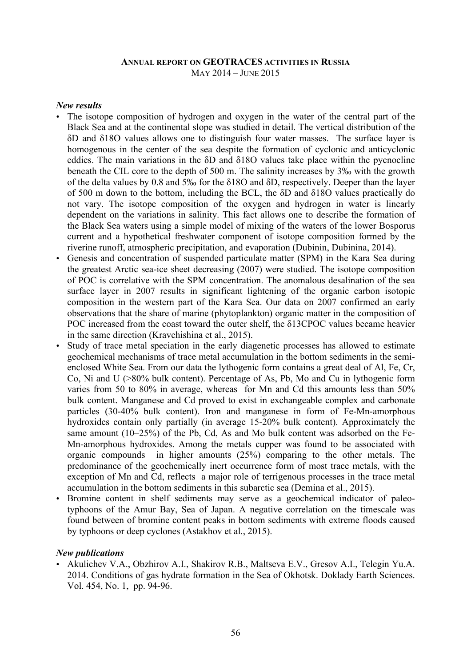#### **ANNUAL REPORT ON GEOTRACES ACTIVITIES IN RUSSIA** MAY 2014 – JUNE 2015

### *New results*

- The isotope composition of hydrogen and oxygen in the water of the central part of the Black Sea and at the continental slope was studied in detail. The vertical distribution of the δD and δ18O values allows one to distinguish four water masses. The surface layer is homogenous in the center of the sea despite the formation of cyclonic and anticyclonic eddies. The main variations in the δD and δ18O values take place within the pycnocline beneath the CIL core to the depth of 500 m. The salinity increases by 3‰ with the growth of the delta values by 0.8 and 5‰ for the δ18O and δD, respectively. Deeper than the layer of 500 m down to the bottom, including the BCL, the δD and δ18O values practically do not vary. The isotope composition of the oxygen and hydrogen in water is linearly dependent on the variations in salinity. This fact allows one to describe the formation of the Black Sea waters using a simple model of mixing of the waters of the lower Bosporus current and a hypothetical freshwater component of isotope composition formed by the riverine runoff, atmospheric precipitation, and evaporation (Dubinin, Dubinina, 2014).
- Genesis and concentration of suspended particulate matter (SPM) in the Kara Sea during the greatest Arctic sea-ice sheet decreasing (2007) were studied. The isotope composition of POC is correlative with the SPM concentration. The anomalous desalination of the sea surface layer in 2007 results in significant lightening of the organic carbon isotopic composition in the western part of the Kara Sea. Our data on 2007 confirmed an early observations that the share of marine (phytoplankton) organic matter in the composition of POC increased from the coast toward the outer shelf, the δ13СPOC values became heavier in the same direction (Kravchishina et al., 2015).
- Study of trace metal speciation in the early diagenetic processes has allowed to estimate geochemical mechanisms of trace metal accumulation in the bottom sediments in the semienclosed White Sea. From our data the lythogenic form contains a great deal of Al, Fe, Cr, Co, Ni and U (>80% bulk content). Percentage of As, Pb, Mo and Cu in lythogenic form varies from 50 to 80% in average, whereas for Mn and Cd this amounts less than 50% bulk content. Manganese and Cd proved to exist in exchangeable complex and carbonate particles (30-40% bulk content). Iron and manganese in form of Fe-Mn-amorphous hydroxides contain only partially (in average 15-20% bulk content). Approximately the same amount (10–25%) of the Pb, Cd, As and Mo bulk content was adsorbed on the Fe-Mn-amorphous hydroxides. Among the metals cupper was found to be associated with organic compounds in higher amounts (25%) comparing to the other metals. The predominance of the geochemically inert occurrence form of most trace metals, with the exception of Mn and Cd, reflects a major role of terrigenous processes in the trace metal accumulation in the bottom sediments in this subarctic sea (Demina et al., 2015).
- Bromine content in shelf sediments may serve as a geochemical indicator of paleotyphoons of the Amur Bay, Sea of Japan. A negative correlation on the timescale was found between of bromine content peaks in bottom sediments with extreme floods caused by typhoons or deep cyclones (Astakhov et al., 2015).

#### *New publications*

• Akulichev V.A., Obzhirov A.I., Shakirov R.B., Maltseva E.V., Gresov A.I., Telegin Yu.A. 2014. Conditions of gas hydrate formation in the Sea of Okhotsk. Doklady Earth Sciences. Vol. 454, No. 1, pp. 94-96.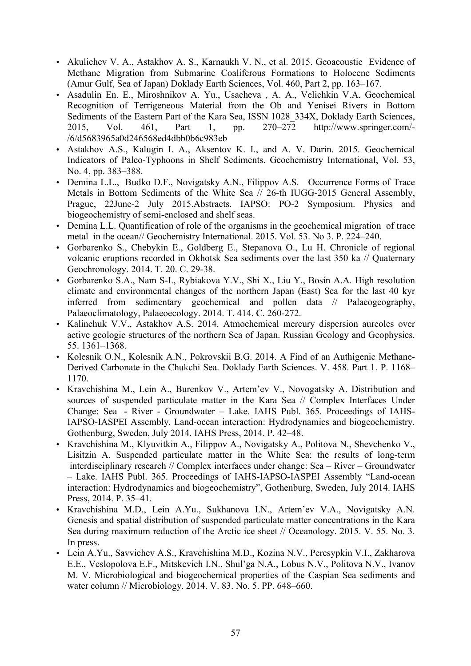- Akulichev V. A., Astakhov A. S., Karnaukh V. N., et al. 2015. Geoacoustic Evidence of Methane Migration from Submarine Coaliferous Formations to Holocene Sediments (Amur Gulf, Sea of Japan) Doklady Earth Sciences, Vol. 460, Part 2, pp. 163–167.
- Asadulin En. E., Miroshnikov A. Yu., Usacheva , A. A., Velichkin V.A. Geochemical Recognition of Terrigeneous Material from the Ob and Yenisei Rivers in Bottom Sediments of the Eastern Part of the Kara Sea, ISSN 1028 334X, Doklady Earth Sciences, 2015, Vol. 461, Part 1, pp. 270–272 http://www.springer.com/- /6/d5683965a0d246568ed4dbb0b6c983eb
- Astakhov A.S., Kalugin I. A., Aksentov K. I., and A. V. Darin. 2015. Geochemical Indicators of Paleo-Typhoons in Shelf Sediments. Geochemistry International, Vol. 53, No. 4, pp. 383–388.
- Demina L.L., Budko D.F., Novigatsky A.N., Filippov A.S. Occurrence Forms of Trace Metals in Bottom Sediments of the White Sea // 26-th IUGG-2015 General Assembly, Prague, 22June-2 July 2015.Abstracts. IAPSO: PO-2 Symposium. Physics and biogeochemistry of semi-enclosed and shelf seas.
- Demina L.L. Quantification of role of the organisms in the geochemical migration of trace metal in the ocean// Geochemistry International. 2015. Vol. 53. No 3. P. 224–240.
- Gorbarenko S., Chebykin E., Goldberg E., Stepanova O., Lu H. Chronicle of regional volcanic eruptions recorded in Okhotsk Sea sediments over the last 350 ka // Quaternary Geochronology. 2014. Т. 20. С. 29-38.
- Gorbarenko S.A., Nam S-I., Rybiakova Y.V., Shi X., Liu Y., Bosin A.A. High resolution climate and environmental changes of the northern Japan (East) Sea for the last 40 kyr inferred from sedimentary geochemical and pollen data // Palaeogeography, Palaeoclimatology, Palaeoecology. 2014. Т. 414. С. 260-272.
- Kalinchuk V.V., Astakhov A.S. 2014. Atmochemical mercury dispersion aureoles over active geologic structures of the northern Sea of Japan. Russian Geology and Geophysics. 55. 1361–1368.
- Kolesnik O.N., Kolesnik A.N., Pokrovskii B.G. 2014. A Find of an Authigenic Methane-Derived Carbonate in the Chukchi Sea. Doklady Earth Sciences. V. 458. Part 1. P. 1168– 1170.
- Kravchishina M., Lein A., Burenkov V., Artem'ev V., Novogatsky A. Distribution and sources of suspended particulate matter in the Kara Sea // Complex Interfaces Under Change: Sea - River - Groundwater – Lake. IAHS Publ. 365. Proceedings of IAHS-IAPSO-IASPEI Assembly. Land-ocean interaction: Hydrodynamics and biogeochemistry. Gothenburg, Sweden, July 2014. IAHS Press, 2014. P. 42–48.
- Kravchishina M., Klyuvitkin A., Filippov A., Novigatsky A., Politova N., Shevchenko V., Lisitzin A. Suspended particulate matter in the White Sea: the results of long-term interdisciplinary research // Complex interfaces under change: Sea – River – Groundwater – Lake. IAHS Publ. 365. Proceedings of IAHS-IAPSO-IASPEI Assembly "Land-ocean interaction: Hydrodynamics and biogeochemistry", Gothenburg, Sweden, July 2014. IAHS Press, 2014. P. 35–41.
- Kravchishina M.D., Lein A.Yu., Sukhanova I.N., Artem'ev V.A., Novigatsky A.N. Genesis and spatial distribution of suspended particulate matter concentrations in the Kara Sea during maximum reduction of the Arctic ice sheet // Oceanology. 2015. V. 55. No. 3. In press.
- Lein A.Yu., Savvichev A.S., Kravchishina M.D., Kozina N.V., Peresypkin V.I., Zakharova E.E., Veslopolova E.F., Mitskevich I.N., Shul'ga N.A., Lobus N.V., Politova N.V., Ivanov M. V. Microbiological and biogeochemical properties of the Caspian Sea sediments and water column // Microbiology. 2014. V. 83. No. 5. PP. 648–660.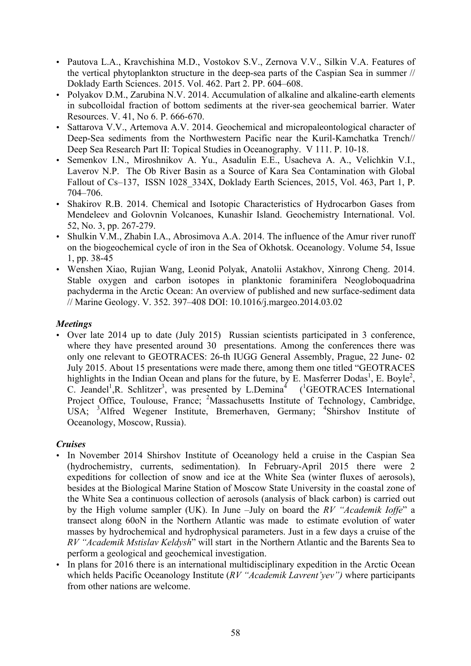- Pautova L.A., Kravchishina M.D., Vostokov S.V., Zernova V.V., Silkin V.A. Features of the vertical phytoplankton structure in the deep-sea parts of the Caspian Sea in summer // Doklady Earth Sciences. 2015. Vol. 462. Part 2. PP. 604–608.
- Polyakov D.M., Zarubina N.V. 2014. Accumulation of alkaline and alkaline-earth elements in subcolloidal fraction of bottom sediments at the river-sea geochemical barrier. Water Resources. V. 41, No 6. P. 666-670.
- Sattarova V.V., Artemova A.V. 2014. Geochemical and micropaleontological character of Deep-Sea sediments from the Northwestern Pacific near the Kuril-Kamchatka Trench// Deep Sea Research Part II: Topical Studies in Oceanography. V 111. P. 10-18.
- Semenkov I.N., Miroshnikov A. Yu., Asadulin E.E., Usacheva A. A., Velichkin V.I., Laverov N.P. The Ob River Basin as a Source of Kara Sea Contamination with Global Fallout of Cs–137, ISSN 1028 334X, Doklady Earth Sciences, 2015, Vol. 463, Part 1, P. 704–706.
- Shakirov R.B. 2014. Chemical and Isotopic Characteristics of Hydrocarbon Gases from Mendeleev and Golovnin Volcanoes, Kunashir Island. Geochemistry International. Vol. 52, No. 3, pp. 267-279.
- Shulkin V.M., Zhabin I.A., Abrosimova A.A. 2014. The influence of the Amur river runoff on the biogeochemical cycle of iron in the Sea of Okhotsk. Oceanology. Volume 54, Issue 1, pp. 38-45
- Wenshen Xiao, Rujian Wang, Leonid Polyak, Anatolii Astakhov, Xinrong Cheng. 2014. Stable oxygen and carbon isotopes in planktonic foraminifera Neogloboquadrina pachyderma in the Arctic Ocean: An overview of published and new surface-sediment data // Marine Geology. V. 352. 397–408 DOI: 10.1016/j.margeo.2014.03.02

# *Meetings*

• Over late 2014 up to date (July 2015) Russian scientists participated in 3 conference, where they have presented around 30 presentations. Among the conferences there was only one relevant to GEOTRACES: 26-th IUGG General Assembly, Prague, 22 June- 02 July 2015. About 15 presentations were made there, among them one titled "GEOTRACES highlights in the Indian Ocean and plans for the future, by E. Masferrer Dodas<sup>1</sup>, E. Boyle<sup>2</sup>, C. Jeandel<sup>1</sup>, R. Schlitzer<sup>3</sup>, was presented by L.Demina<sup>4</sup> (<sup>1</sup>GEOTRACES International Project Office, Toulouse, France; <sup>2</sup>Massachusetts Institute of Technology, Cambridge, USA; <sup>3</sup>Alfred Wegener Institute, Bremerhaven, Germany; <sup>4</sup>Shirshov Institute of Oceanology, Moscow, Russia).

# *Cruises*

- In November 2014 Shirshov Institute of Oceanology held a cruise in the Caspian Sea (hydrochemistry, currents, sedimentation). In February-April 2015 there were 2 expeditions for collection of snow and ice at the White Sea (winter fluxes of aerosols), besides at the Biological Marine Station of Moscow State University in the coastal zone of the White Sea a continuous collection of aerosols (analysis of black carbon) is carried out by the High volume sampler (UK). In June –July on board the *RV "Academik Ioffe*" a transect along 60oN in the Northern Atlantic was made to estimate evolution of water masses by hydrochemical and hydrophysical parameters. Just in a few days a cruise of the *RV "Academik Mstislav Keldysh*" will start in the Northern Atlantic and the Barents Sea to perform a geological and geochemical investigation.
- In plans for 2016 there is an international multidisciplinary expedition in the Arctic Ocean which helds Pacific Oceanology Institute (*RV "Academik Lavrent'yev")* where participants from other nations are welcome.